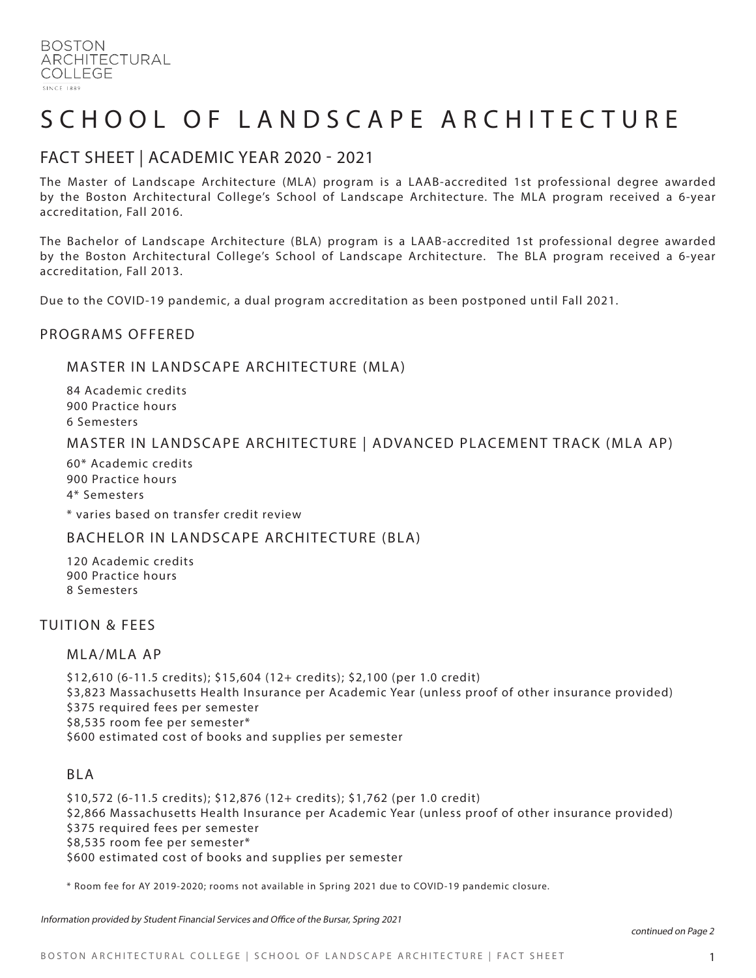# SCHOOL OF LANDSCAPE ARCHITECTURE

# FACT SHEET | ACADEMIC YEAR 2020 - 2021

The Master of Landscape Architecture (MLA) program is a LAAB-accredited 1st professional degree awarded by the Boston Architectural College's School of Landscape Architecture. The MLA program received a 6-year accreditation, Fall 2016.

The Bachelor of Landscape Architecture (BLA) program is a LAAB-accredited 1st professional degree awarded by the Boston Architectural College's School of Landscape Architecture. The BLA program received a 6-year accreditation, Fall 2013.

Due to the COVID-19 pandemic, a dual program accreditation as been postponed until Fall 2021.

#### PROGRAMS OFFERED

#### MASTER IN LANDSCAPE ARCHITECTURE (MLA)

84 Academic credits 900 Practice hours 6 Semesters

## MASTER IN LANDSCAPE ARCHITECTURE | ADVANCED PLACEMENT TRACK (MLA AP)

60\* Academic credits 900 Practice hours 4\* Semesters

\* varies based on transfer credit review

## BACHELOR IN LANDSCAPE ARCHITECTURE (BLA)

120 Academic credits 900 Practice hours 8 Semesters

## TUITION & FEES

#### MLA/MLA AP

\$12,610 (6-11.5 credits); \$15,604 (12+ credits); \$2,100 (per 1.0 credit) \$3,823 Massachusetts Health Insurance per Academic Year (unless proof of other insurance provided) \$375 required fees per semester \$8,535 room fee per semester\* \$600 estimated cost of books and supplies per semester

#### BLA

\$10,572 (6-11.5 credits); \$12,876 (12+ credits); \$1,762 (per 1.0 credit) \$2,866 Massachusetts Health Insurance per Academic Year (unless proof of other insurance provided) \$375 required fees per semester \$8,535 room fee per semester\* \$600 estimated cost of books and supplies per semester

\* Room fee for AY 2019-2020; rooms not available in Spring 2021 due to COVID-19 pandemic closure.

Information provided by Student Financial Services and Office of the Bursar, Spring 2021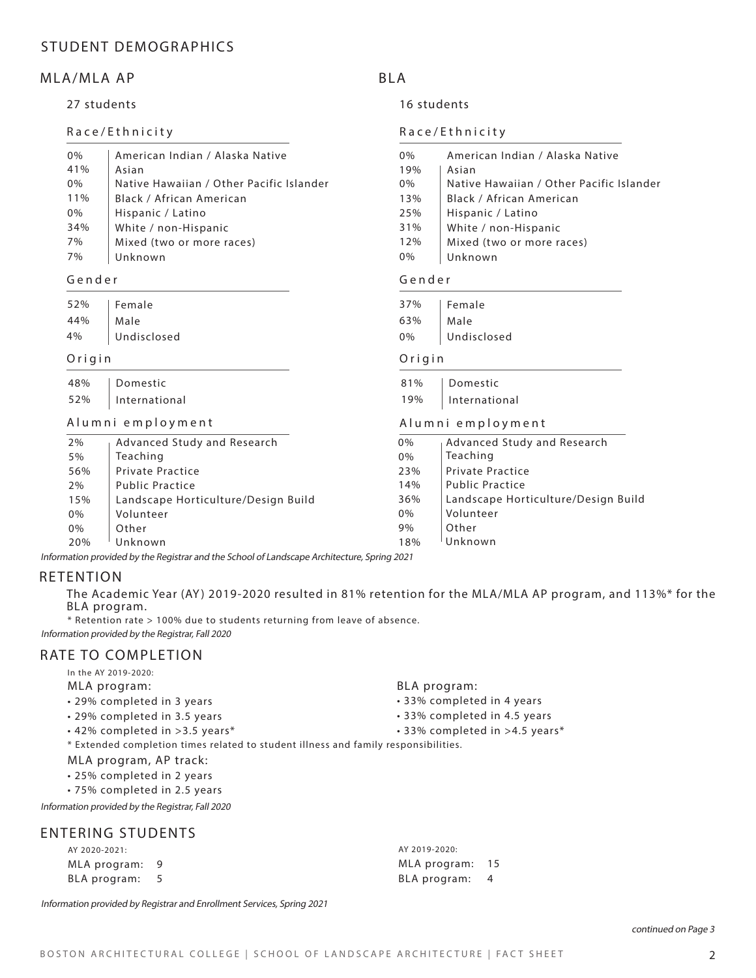# STUDENT DEMOGRAPHICS

## MLA/MLA AP

#### 27 students

#### Race/Ethnicity

| 0%  | American Indian / Alaska Native          | $0\%$ | American Indian / Alaska Native          |
|-----|------------------------------------------|-------|------------------------------------------|
| 41% | Asian                                    | 19%   | Asian                                    |
| 0%  | Native Hawaiian / Other Pacific Islander | 0%    | Native Hawaiian / Other Pacific Islander |
| 11% | Black / African American                 | 13%   | Black / African American                 |
| 0%  | Hispanic / Latino                        | 25%   | Hispanic / Latino                        |
| 34% | White / non-Hispanic                     | 31%   | White / non-Hispanic                     |
| 7%  | Mixed (two or more races)                | 12%   | Mixed (two or more races)                |
| 7%  | Unknown                                  | 0%    | Unknown                                  |

#### Gender

|            | 52%   Female     |            | 37%   Female |
|------------|------------------|------------|--------------|
| 44%   Male |                  | 63%   Male |              |
|            | 4%   Undisclosed |            | 0%   Undisc  |

#### Origin

| 48% | Domestic      |
|-----|---------------|
| 52% | International |

#### Alumni employment

|       |                                     | $1.1$ and $1.11$ and $2.11$ $\beta$ iverse in the set of $\alpha$ |                                     |
|-------|-------------------------------------|-------------------------------------------------------------------|-------------------------------------|
| 2%    | Advanced Study and Research         | 0%                                                                | Advanced Study and Research         |
| 5%    | Teaching                            | 0%                                                                | Teaching                            |
| 56%   | <b>Private Practice</b>             | 23%                                                               | <b>Private Practice</b>             |
| 2%    | <b>Public Practice</b>              | 14%                                                               | <b>Public Practice</b>              |
| 15%   | Landscape Horticulture/Design Build | 36%                                                               | Landscape Horticulture/Design Build |
| 0%    | Volunteer                           | 0%                                                                | Volunteer                           |
| $0\%$ | Other                               | 9%                                                                | Other                               |
| 20%   | Unknown                             | 18%                                                               | Unknown                             |

Information provided by the Registrar and the School of Landscape Architecture, Spring 2021

#### RETENTION

The Academic Year (AY) 2019-2020 resulted in 81% retention for the MLA/MLA AP program, and 113%\* for the BLA program.

\* Retention rate > 100% due to students returning from leave of absence. Information provided by the Registrar, Fall 2020

#### RATE TO COMPLETION

- In the AY 2019-2020:
- MLA program:
- 29% completed in 3 years
- 29% completed in 3.5 years
- 42% completed in >3.5 years\*
- \* Extended completion times related to student illness and family responsibilities.

#### MLA program, AP track:

- 25% completed in 2 years
- 75% completed in 2.5 years

Information provided by the Registrar, Fall 2020

## ENTERING STUDENTS

| AY 2020-2021:  | AY 2019-2020:   |  |
|----------------|-----------------|--|
| MLA program: 9 | MLA program: 15 |  |
| BLA program: 5 | BLA program: 4  |  |

Information provided by Registrar and Enrollment Services, Spring 2021

BLA program:

• 33% completed in 4 years

Undisclosed Undisclosed

81% Domestic 19% International

Alumni employment

Gender

Origin

16 students

Race/Ethnicity

BLA

- 33% completed in 4.5 years
- 33% completed in >4.5 years\*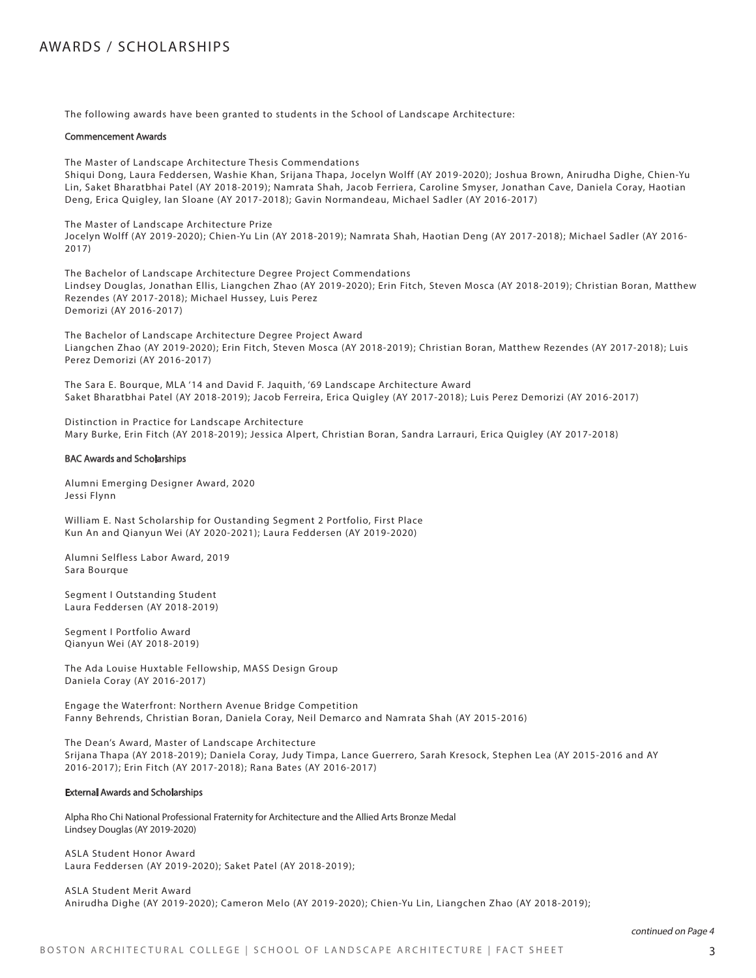# AWARDS / SCHOLARSHIPS

The following awards have been granted to students in the School of Landscape Architecture:

#### Commencement Awards

The Master of Landscape Architecture Thesis Commendations

Shiqui Dong, Laura Feddersen, Washie Khan, Srijana Thapa, Jocelyn Wolff (AY 2019-2020); Joshua Brown, Anirudha Dighe, Chien-Yu Lin, Saket Bharatbhai Patel (AY 2018-2019); Namrata Shah, Jacob Ferriera, Caroline Smyser, Jonathan Cave, Daniela Coray, Haotian Deng, Erica Quigley, Ian Sloane (AY 2017-2018); Gavin Normandeau, Michael Sadler (AY 2016-2017)

The Master of Landscape Architecture Prize Jocelyn Wolff (AY 2019-2020); Chien-Yu Lin (AY 2018-2019); Namrata Shah, Haotian Deng (AY 2017-2018); Michael Sadler (AY 2016- 2017)

The Bachelor of Landscape Architecture Degree Project Commendations Lindsey Douglas, Jonathan Ellis, Liangchen Zhao (AY 2019-2020); Erin Fitch, Steven Mosca (AY 2018-2019); Christian Boran, Matthew Rezendes (AY 2017-2018); Michael Hussey, Luis Perez Demorizi (AY 2016-2017)

The Bachelor of Landscape Architecture Degree Project Award Liangchen Zhao (AY 2019-2020); Erin Fitch, Steven Mosca (AY 2018-2019); Christian Boran, Matthew Rezendes (AY 2017-2018); Luis Perez Demorizi (AY 2016-2017)

The Sara E. Bourque, MLA '14 and David F. Jaquith, '69 Landscape Architecture Award Saket Bharatbhai Patel (AY 2018-2019); Jacob Ferreira, Erica Quigley (AY 2017-2018); Luis Perez Demorizi (AY 2016-2017)

Distinction in Practice for Landscape Architecture Mary Burke, Erin Fitch (AY 2018-2019); Jessica Alpert, Christian Boran, Sandra Larrauri, Erica Quigley (AY 2017-2018)

#### BAC Awards and Scholarships

Alumni Emerging Designer Award, 2020 Jessi Flynn

William E. Nast Scholarship for Oustanding Segment 2 Portfolio, First Place Kun An and Qianyun Wei (AY 2020-2021); Laura Feddersen (AY 2019-2020)

Alumni Selfless Labor Award, 2019 Sara Bourque

Segment I Outstanding Student Laura Feddersen (AY 2018-2019)

Segment I Portfolio Award Qianyun Wei (AY 2018-2019)

The Ada Louise Huxtable Fellowship, MASS Design Group Daniela Coray (AY 2016-2017)

Engage the Waterfront: Northern Avenue Bridge Competition Fanny Behrends, Christian Boran, Daniela Coray, Neil Demarco and Namrata Shah (AY 2015-2016)

The Dean's Award, Master of Landscape Architecture Srijana Thapa (AY 2018-2019); Daniela Coray, Judy Timpa, Lance Guerrero, Sarah Kresock, Stephen Lea (AY 2015-2016 and AY 2016-2017); Erin Fitch (AY 2017-2018); Rana Bates (AY 2016-2017)

#### External Awards and Scholarships

Alpha Rho Chi National Professional Fraternity for Architecture and the Allied Arts Bronze Medal Lindsey Douglas (AY 2019-2020)

ASLA Student Honor Award Laura Feddersen (AY 2019-2020); Saket Patel (AY 2018-2019);

ASLA Student Merit Award Anirudha Dighe (AY 2019-2020); Cameron Melo (AY 2019-2020); Chien-Yu Lin, Liangchen Zhao (AY 2018-2019);